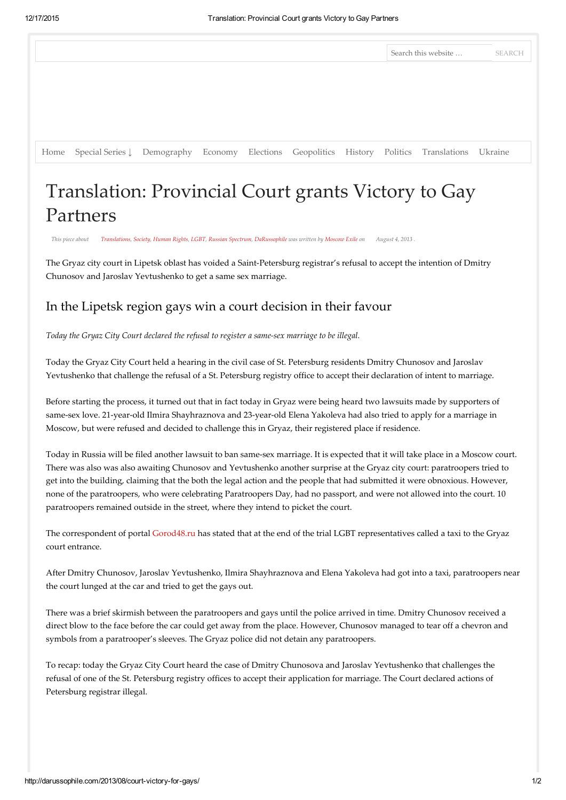|                                                                                                      |  |  |  | Search this website  SEARCH |  |
|------------------------------------------------------------------------------------------------------|--|--|--|-----------------------------|--|
|                                                                                                      |  |  |  |                             |  |
|                                                                                                      |  |  |  |                             |  |
|                                                                                                      |  |  |  |                             |  |
| Home Special Series L Demography Economy Elections Geopolitics History Politics Translations Ukraine |  |  |  |                             |  |

## Translation: Provincial Court grants Victory to Gay Partners

This piece about [Translations](http://darussophile.com/category/translations/), [Society](http://darussophile.com/category/society/), [Human](http://darussophile.com/category/human-rights/) Rights, [LGBT,](http://darussophile.com/category/lgbt-2/) Russian [Spectrum](http://darussophile.com/category/russian-spectrum/), [DaRussophile](http://darussophile.com/category/darussophile/) was written by [Moscow](http://darussophile.com/writer/moscowexile/) Exile on August 4, 2013 .

The Gryaz city court in Lipetsk oblast has voided a Saint-Petersburg registrar's refusal to accept the intention of Dmitry Chunosov and Jaroslav Yevtushenko to get a same sex marriage.

## In the Lipetsk region gays win a court decision in their favour

Today the Gryaz City Court declared the refusal to register a same‑sex marriage to be illegal.

Today the Gryaz City Court held a hearing in the civil case of St. Petersburg residents Dmitry Chunosov and Jaroslav Yevtushenko that challenge the refusal of a St. Petersburg registry office to accept their declaration of intent to marriage.

Before starting the process, it turned out that in fact today in Gryaz were being heard two lawsuits made by supporters of same-sex love. 21-year-old Ilmira Shayhraznova and 23-year-old Elena Yakoleva had also tried to apply for a marriage in Moscow, but were refused and decided to challenge this in Gryaz, their registered place if residence.

Today in Russia will be filed another lawsuit to ban same‑sex marriage. It is expected that it will take place in a Moscow court. There was also was also awaiting Chunosov and Yevtushenko another surprise at the Gryaz city court: paratroopers tried to get into the building, claiming that the both the legal action and the people that had submitted it were obnoxious. However, none of the paratroopers, who were celebrating Paratroopers Day, had no passport, and were not allowed into the court. 10 paratroopers remained outside in the street, where they intend to picket the court.

The correspondent of portal [Gorod48.ru](http://gorod48.ru/) has stated that at the end of the trial LGBT representatives called a taxi to the Gryaz court entrance.

After Dmitry Chunosov, Jaroslav Yevtushenko, Ilmira Shayhraznova and Elena Yakoleva had got into a taxi, paratroopers near the court lunged at the car and tried to get the gays out.

There was a brief skirmish between the paratroopers and gays until the police arrived in time. Dmitry Chunosov received a direct blow to the face before the car could get away from the place. However, Chunosov managed to tear off a chevron and symbols from a paratrooper's sleeves. The Gryaz police did not detain any paratroopers.

To recap: today the Gryaz City Court heard the case of Dmitry Chunosova and Jaroslav Yevtushenko that challenges the refusal of one of the St. Petersburg registry offices to accept their application for marriage. The Court declared actions of Petersburg registrar illegal.